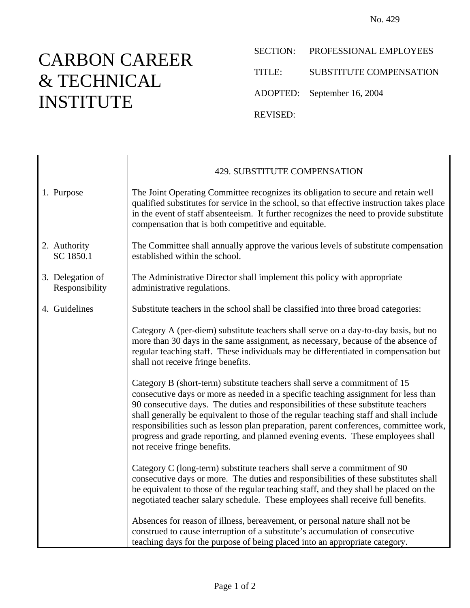## CARBON CAREER & TECHNICAL INSTITUTE

SECTION: PROFESSIONAL EMPLOYEES

TITLE: SUBSTITUTE COMPENSATION

ADOPTED: September 16, 2004

REVISED:

|                                    | 429. SUBSTITUTE COMPENSATION                                                                                                                                                                                                                                                                                                                                                                                                                                                                                                                                |
|------------------------------------|-------------------------------------------------------------------------------------------------------------------------------------------------------------------------------------------------------------------------------------------------------------------------------------------------------------------------------------------------------------------------------------------------------------------------------------------------------------------------------------------------------------------------------------------------------------|
| 1. Purpose                         | The Joint Operating Committee recognizes its obligation to secure and retain well<br>qualified substitutes for service in the school, so that effective instruction takes place<br>in the event of staff absenteeism. It further recognizes the need to provide substitute<br>compensation that is both competitive and equitable.                                                                                                                                                                                                                          |
| 2. Authority<br>SC 1850.1          | The Committee shall annually approve the various levels of substitute compensation<br>established within the school.                                                                                                                                                                                                                                                                                                                                                                                                                                        |
| 3. Delegation of<br>Responsibility | The Administrative Director shall implement this policy with appropriate<br>administrative regulations.                                                                                                                                                                                                                                                                                                                                                                                                                                                     |
| 4. Guidelines                      | Substitute teachers in the school shall be classified into three broad categories:                                                                                                                                                                                                                                                                                                                                                                                                                                                                          |
|                                    | Category A (per-diem) substitute teachers shall serve on a day-to-day basis, but no<br>more than 30 days in the same assignment, as necessary, because of the absence of<br>regular teaching staff. These individuals may be differentiated in compensation but<br>shall not receive fringe benefits.                                                                                                                                                                                                                                                       |
|                                    | Category B (short-term) substitute teachers shall serve a commitment of 15<br>consecutive days or more as needed in a specific teaching assignment for less than<br>90 consecutive days. The duties and responsibilities of these substitute teachers<br>shall generally be equivalent to those of the regular teaching staff and shall include<br>responsibilities such as lesson plan preparation, parent conferences, committee work,<br>progress and grade reporting, and planned evening events. These employees shall<br>not receive fringe benefits. |
|                                    | Category C (long-term) substitute teachers shall serve a commitment of 90<br>consecutive days or more. The duties and responsibilities of these substitutes shall<br>be equivalent to those of the regular teaching staff, and they shall be placed on the<br>negotiated teacher salary schedule. These employees shall receive full benefits.                                                                                                                                                                                                              |
|                                    | Absences for reason of illness, bereavement, or personal nature shall not be<br>construed to cause interruption of a substitute's accumulation of consecutive<br>teaching days for the purpose of being placed into an appropriate category.                                                                                                                                                                                                                                                                                                                |